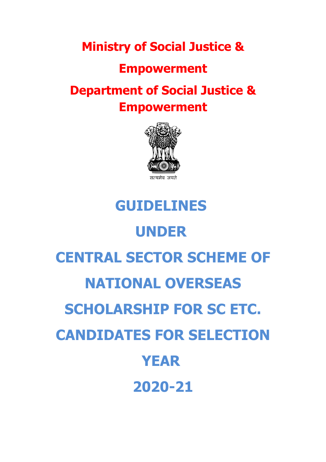**Ministry of Social Justice &**

### **Empowerment**

## **Department of Social Justice & Empowerment**



# **GUIDELINES UNDER CENTRAL SECTOR SCHEME OF NATIONAL OVERSEAS SCHOLARSHIP FOR SC ETC. CANDIDATES FOR SELECTION YEAR 2020-21**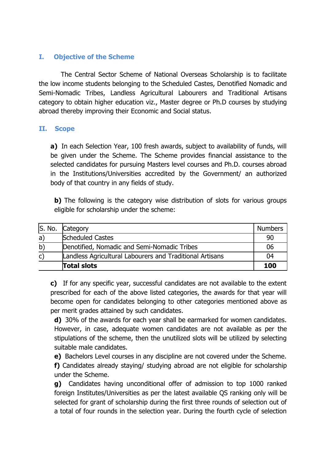#### **I. Objective of the Scheme**

The Central Sector Scheme of National Overseas Scholarship is to facilitate the low income students belonging to the Scheduled Castes, Denotified Nomadic and Semi-Nomadic Tribes, Landless Agricultural Labourers and Traditional Artisans category to obtain higher education viz., Master degree or Ph.D courses by studying abroad thereby improving their Economic and Social status.

#### **II. Scope**

**a)** In each Selection Year, 100 fresh awards, subject to availability of funds, will be given under the Scheme. The Scheme provides financial assistance to the selected candidates for pursuing Masters level courses and Ph.D. courses abroad in the Institutions/Universities accredited by the Government/ an authorized body of that country in any fields of study.

**b**) The following is the category wise distribution of slots for various groups eligible for scholarship under the scheme:

|              | S. No. Category                                                 | <b>Numbers</b> |
|--------------|-----------------------------------------------------------------|----------------|
| a)           | <b>Scheduled Castes</b>                                         | 90             |
| b)           | Denotified, Nomadic and Semi-Nomadic Tribes                     | 06             |
| $\mathsf{C}$ | <b>Landless Agricultural Labourers and Traditional Artisans</b> | 04             |
|              | Total slots                                                     | 100            |

**c)** If for any specific year, successful candidates are not available to the extent prescribed for each of the above listed categories, the awards for that year will become open for candidates belonging to other categories mentioned above as per merit grades attained by such candidates.

**d)** 30% of the awards for each year shall be earmarked for women candidates. However, in case, adequate women candidates are not available as per the stipulations of the scheme, then the unutilized slots will be utilized by selecting suitable male candidates.

**e)** Bachelors Level courses in any discipline are not covered under the Scheme. **f)** Candidates already staying/ studying abroad are not eligible for scholarship under the Scheme.

**g)** Candidates having unconditional offer of admission to top 1000 ranked foreign Institutes/Universities as per the latest available QS ranking only will be selected for grant of scholarship during the first three rounds of selection out of a total of four rounds in the selection year. During the fourth cycle of selection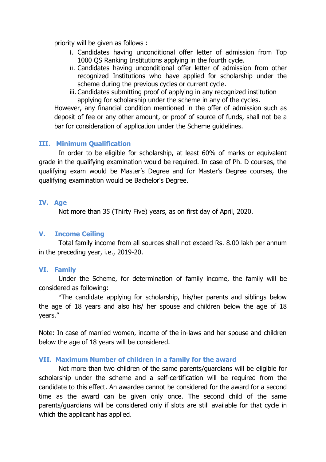priority will be given as follows :

- i. Candidates having unconditional offer letter of admission from Top 1000 QS Ranking Institutions applying in the fourth cycle.
- ii. Candidates having unconditional offer letter of admission from other recognized Institutions who have applied for scholarship under the scheme during the previous cycles or current cycle.
- iii. Candidates submitting proof of applying in any recognized institution applying for scholarship under the scheme in any of the cycles.

However, any financial condition mentioned in the offer of admission such as deposit of fee or any other amount, or proof of source of funds, shall not be a bar for consideration of application under the Scheme guidelines.

#### **III. Minimum Qualification**

In order to be eligible for scholarship, at least 60% of marks or equivalent grade in the qualifying examination would be required. In case of Ph. D courses, the qualifying exam would be Master's Degree and for Master's Degree courses, the qualifying examination would be Bachelor's Degree.

#### **IV. Age**

Not more than 35 (Thirty Five) years, as on first day of April, 2020.

#### **V. Income Ceiling**

Total family income from all sources shall not exceed Rs. 8.00 lakh per annum in the preceding year, i.e., 2019-20.

#### **VI. Family**

Under the Scheme, for determination of family income, the family will be considered as following:

"The candidate applying for scholarship, his/her parents and siblings below the age of 18 years and also his/ her spouse and children below the age of 18 years."

Note: In case of married women, income of the in-laws and her spouse and children below the age of 18 years will be considered.

#### **VII. Maximum Number of children in a family for the award**

Not more than two children of the same parents/guardians will be eligible for scholarship under the scheme and a self-certification will be required from the candidate to this effect. An awardee cannot be considered for the award for a second time as the award can be given only once. The second child of the same parents/guardians will be considered only if slots are still available for that cycle in which the applicant has applied.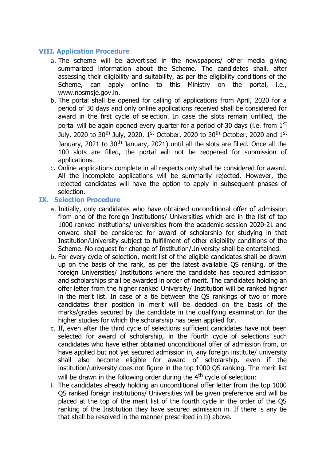#### **VIII. Application Procedure**

- a. The scheme will be advertised in the newspapers/ other media giving summarized information about the Scheme. The candidates shall, after assessing their eligibility and suitability, as per the eligibility conditions of the Scheme, can apply online to this Ministry on the portal, i.e., www.nosmsje.gov.in.
- b. The portal shall be opened for calling of applications from April, 2020 for a period of 30 days and only online applications received shall be considered for award in the first cycle of selection. In case the slots remain unfilled, the portal will be again opened every quarter for a period of 30 days (i.e. from 1st July, 2020 to 30<sup>th</sup> July, 2020, 1<sup>st</sup> October, 2020 to 30<sup>th</sup> October, 2020 and 1<sup>st</sup> January, 2021 to 30<sup>th</sup> January, 2021) until all the slots are filled. Once all the 100 slots are filled, the portal will not be reopened for submission of applications.
- c. Online applications complete in all respects only shall be considered for award. All the incomplete applications will be summarily rejected. However, the rejected candidates will have the option to apply in subsequent phases of selection.

#### **IX. Selection Procedure**

- a. Initially, only candidates who have obtained unconditional offer of admission from one of the foreign Institutions/ Universities which are in the list of top 1000 ranked institutions/ universities from the academic session 2020-21 and onward shall be considered for award of scholarship for studying in that Institution/University subject to fulfillment of other eligibility conditions of the Scheme. No request for change of Institution/University shall be entertained.
- b. For every cycle of selection, merit list of the eligible candidates shall be drawn up on the basis of the rank, as per the latest available QS ranking, of the foreign Universities/ Institutions where the candidate has secured admission and scholarships shall be awarded in order of merit. The candidates holding an offer letter from the higher ranked University/ Institution will be ranked higher in the merit list. In case of a tie between the QS rankings of two or more candidates their position in merit will be decided on the basis of the marks/grades secured by the candidate in the qualifying examination for the higher studies for which the scholarship has been applied for.
- c. If, even after the third cycle of selections sufficient candidates have not been selected for award of scholarship, in the fourth cycle of selections such candidates who have either obtained unconditional offer of admission from, or have applied but not yet secured admission in, any foreign institute/ university shall also become eligible for award of scholarship, even if the institution/university does not figure in the top 1000 QS ranking. The merit list will be drawn in the following order during the  $4<sup>th</sup>$  cycle of selection:
- i. The candidates already holding an unconditional offer letter from the top 1000 QS ranked foreign institutions/ Universities will be given preference and will be placed at the top of the merit list of the fourth cycle in the order of the QS ranking of the Institution they have secured admission in. If there is any tie that shall be resolved in the manner prescribed in b) above.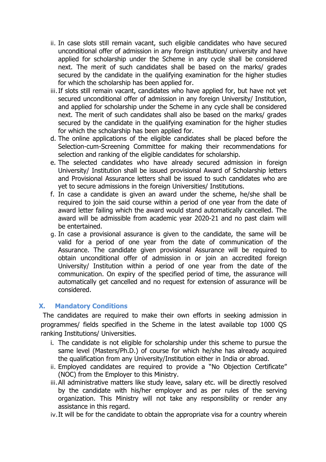- ii. In case slots still remain vacant, such eligible candidates who have secured unconditional offer of admission in any foreign institution/ university and have applied for scholarship under the Scheme in any cycle shall be considered next. The merit of such candidates shall be based on the marks/ grades secured by the candidate in the qualifying examination for the higher studies for which the scholarship has been applied for.
- iii.If slots still remain vacant, candidates who have applied for, but have not yet secured unconditional offer of admission in any foreign University/ Institution, and applied for scholarship under the Scheme in any cycle shall be considered next. The merit of such candidates shall also be based on the marks/ grades secured by the candidate in the qualifying examination for the higher studies for which the scholarship has been applied for.
- d. The online applications of the eligible candidates shall be placed before the Selection-cum-Screening Committee for making their recommendations for selection and ranking of the eligible candidates for scholarship.
- e. The selected candidates who have already secured admission in foreign University/ Institution shall be issued provisional Award of Scholarship letters and Provisional Assurance letters shall be issued to such candidates who are yet to secure admissions in the foreign Universities/ Institutions.
- f. In case a candidate is given an award under the scheme, he/she shall be required to join the said course within a period of one year from the date of award letter failing which the award would stand automatically cancelled. The award will be admissible from academic year 2020-21 and no past claim will be entertained.
- g. In case a provisional assurance is given to the candidate, the same will be valid for a period of one year from the date of communication of the Assurance. The candidate given provisional Assurance will be required to obtain unconditional offer of admission in or join an accredited foreign University/ Institution within a period of one year from the date of the communication. On expiry of the specified period of time, the assurance will automatically get cancelled and no request for extension of assurance will be considered.

#### **X. Mandatory Conditions**

The candidates are required to make their own efforts in seeking admission in programmes/ fields specified in the Scheme in the latest available top 1000 QS ranking Institutions/ Universities.

- i. The candidate is not eligible for scholarship under this scheme to pursue the same level (Masters/Ph.D.) of course for which he/she has already acquired the qualification from any University/Institution either in India or abroad.
- ii. Employed candidates are required to provide a "No Objection Certificate" (NOC) from the Employer to this Ministry.
- iii. All administrative matters like study leave, salary etc. will be directly resolved by the candidate with his/her employer and as per rules of the serving organization. This Ministry will not take any responsibility or render any assistance in this regard.
- iv.It will be for the candidate to obtain the appropriate visa for a country wherein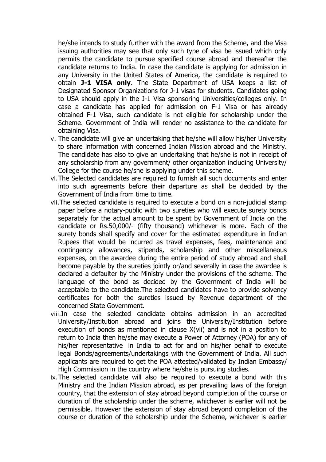he/she intends to study further with the award from the Scheme, and the Visa issuing authorities may see that only such type of visa be issued which only permits the candidate to pursue specified course abroad and thereafter the candidate returns to India. In case the candidate is applying for admission in any University in the United States of America, the candidate is required to obtain **J-1 VISA only**. The State Department of USA keeps a list of Designated Sponsor Organizations for J-1 visas for students. Candidates going to USA should apply in the J-1 Visa sponsoring Universities/colleges only. In case a candidate has applied for admission on F-1 Visa or has already obtained F-1 Visa, such candidate is not eligible for scholarship under the Scheme. Government of India will render no assistance to the candidate for obtaining Visa.

- v. The candidate will give an undertaking that he/she will allow his/her University to share information with concerned Indian Mission abroad and the Ministry. The candidate has also to give an undertaking that he/she is not in receipt of any scholarship from any government/ other organization including University/ College for the course he/she is applying under this scheme.
- vi.The Selected candidates are required to furnish all such documents and enter into such agreements before their departure as shall be decided by the Government of India from time to time.
- vii.The selected candidate is required to execute a bond on a non-judicial stamp paper before a notary-public with two sureties who will execute surety bonds separately for the actual amount to be spent by Government of India on the candidate or Rs.50,000/- (fifty thousand) whichever is more. Each of the surety bonds shall specify and cover for the estimated expenditure in Indian Rupees that would be incurred as travel expenses, fees, maintenance and contingency allowances, stipends, scholarship and other miscellaneous expenses, on the awardee during the entire period of study abroad and shall become payable by the sureties jointly or/and severally in case the awardee is declared a defaulter by the Ministry under the provisions of the scheme. The language of the bond as decided by the Government of India will be acceptable to the candidate.The selected candidates have to provide solvency certificates for both the sureties issued by Revenue department of the concerned State Government.
- viii.In case the selected candidate obtains admission in an accredited University/Institution abroad and joins the University/Institution before execution of bonds as mentioned in clause X(vii) and is not in a position to return to India then he/she may execute a Power of Attorney (POA) for any of his/her representative in India to act for and on his/her behalf to execute legal Bonds/agreements/undertakings with the Government of India. All such applicants are required to get the POA attested/validated by Indian Embassy/ High Commission in the country where he/she is pursuing studies.
- ix.The selected candidate will also be required to execute a bond with this Ministry and the Indian Mission abroad, as per prevailing laws of the foreign country, that the extension of stay abroad beyond completion of the course or duration of the scholarship under the scheme, whichever is earlier will not be permissible. However the extension of stay abroad beyond completion of the course or duration of the scholarship under the Scheme, whichever is earlier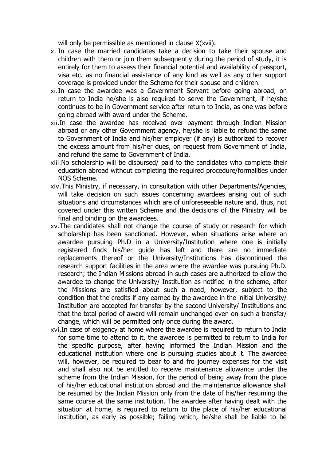will only be permissible as mentioned in clause  $X(xvii)$ .

- x. In case the married candidates take a decision to take their spouse and children with them or join them subsequently during the period of study, it is entirely for them to assess their financial potential and availability of passport, visa etc. as no financial assistance of any kind as well as any other support coverage is provided under the Scheme for their spouse and children.
- xi.In case the awardee was a Government Servant before going abroad, on return to India he/she is also required to serve the Government, if he/she continues to be in Government service after return to India, as one was before going abroad with award under the Scheme.
- xii.In case the awardee has received over payment through Indian Mission abroad or any other Government agency, he/she is liable to refund the same to Government of India and his/her employer (if any) is authorized to recover the excess amount from his/her dues, on request from Government of India, and refund the same to Government of India.
- xiii.No scholarship will be disbursed/ paid to the candidates who complete their education abroad without completing the required procedure/formalities under NOS Scheme.
- xiv.This Ministry, if necessary, in consultation with other Departments/Agencies, will take decision on such issues concerning awardees arising out of such situations and circumstances which are of unforeseeable nature and, thus, not covered under this written Scheme and the decisions of the Ministry will be final and binding on the awardees.
- xv.The candidates shall not change the course of study or research for which scholarship has been sanctioned. However, when situations arise where an awardee pursuing Ph.D in a University/Institution where one is initially registered finds his/her guide has left and there are no immediate replacements thereof or the University/Institutions has discontinued the research support facilities in the area where the awardee was pursuing Ph.D. research; the Indian Missions abroad in such cases are authorized to allow the awardee to change the University/ Institution as notified in the scheme, after the Missions are satisfied about such a need, however, subject to the condition that the credits if any earned by the awardee in the initial University/ Institution are accepted for transfer by the second University/ Institutions and that the total period of award will remain unchanged even on such a transfer/ change, which will be permitted only once during the award.
- xvi.In case of exigency at home where the awardee is required to return to India for some time to attend to it, the awardee is permitted to return to India for the specific purpose, after having informed the Indian Mission and the educational institution where one is pursuing studies about it. The awardee will, however, be required to bear to and fro journey expenses for the visit and shall also not be entitled to receive maintenance allowance under the scheme from the Indian Mission, for the period of being away from the place of his/her educational institution abroad and the maintenance allowance shall be resumed by the Indian Mission only from the date of his/her resuming the same course at the same institution. The awardee after having dealt with the situation at home, is required to return to the place of his/her educational institution, as early as possible; failing which, he/she shall be liable to be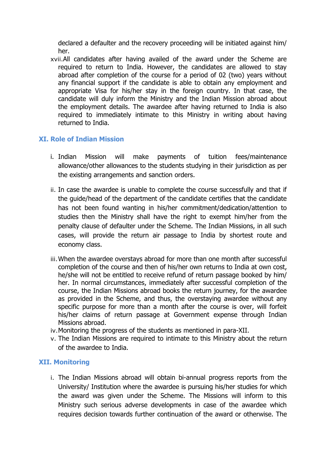declared a defaulter and the recovery proceeding will be initiated against him/ her.

xvii.All candidates after having availed of the award under the Scheme are required to return to India. However, the candidates are allowed to stay abroad after completion of the course for a period of 02 (two) years without any financial support if the candidate is able to obtain any employment and appropriate Visa for his/her stay in the foreign country. In that case, the candidate will duly inform the Ministry and the Indian Mission abroad about the employment details. The awardee after having returned to India is also required to immediately intimate to this Ministry in writing about having returned to India.

#### **XI. Role of Indian Mission**

- i. Indian Mission will make payments of tuition fees/maintenance allowance/other allowances to the students studying in their jurisdiction as per the existing arrangements and sanction orders.
- ii. In case the awardee is unable to complete the course successfully and that if the guide/head of the department of the candidate certifies that the candidate has not been found wanting in his/her commitment/dedication/attention to studies then the Ministry shall have the right to exempt him/her from the penalty clause of defaulter under the Scheme. The Indian Missions, in all such cases, will provide the return air passage to India by shortest route and economy class.
- iii.When the awardee overstays abroad for more than one month after successful completion of the course and then of his/her own returns to India at own cost, he/she will not be entitled to receive refund of return passage booked by him/ her. In normal circumstances, immediately after successful completion of the course, the Indian Missions abroad books the return journey, for the awardee as provided in the Scheme, and thus, the overstaying awardee without any specific purpose for more than a month after the course is over, will forfeit his/her claims of return passage at Government expense through Indian Missions abroad.
- iv.Monitoring the progress of the students as mentioned in para-XII.
- v. The Indian Missions are required to intimate to this Ministry about the return of the awardee to India.

#### **XII. Monitoring**

i. The Indian Missions abroad will obtain bi-annual progress reports from the University/ Institution where the awardee is pursuing his/her studies for which the award was given under the Scheme. The Missions will inform to this Ministry such serious adverse developments in case of the awardee which requires decision towards further continuation of the award or otherwise. The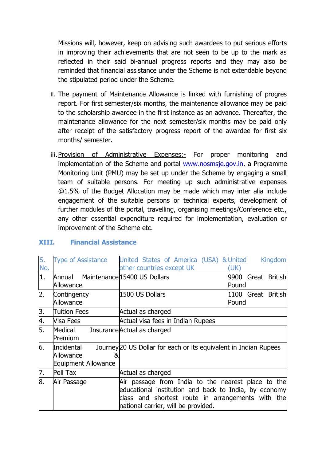Missions will, however, keep on advising such awardees to put serious efforts in improving their achievements that are not seen to be up to the mark as reflected in their said bi-annual progress reports and they may also be reminded that financial assistance under the Scheme is not extendable beyond the stipulated period under the Scheme.

- ii. The payment of Maintenance Allowance is linked with furnishing of progres report. For first semester/six months, the maintenance allowance may be paid to the scholarship awardee in the first instance as an advance. Thereafter, the maintenance allowance for the next semester/six months may be paid only after receipt of the satisfactory progress report of the awardee for first six months/ semester.
- iii. Provision of Administrative Expenses:- For proper monitoring and implementation of the Scheme and portal www.nosmsje.gov.in, a Programme Monitoring Unit (PMU) may be set up under the Scheme by engaging a small team of suitable persons. For meeting up such administrative expenses @1.5% of the Budget Allocation may be made which may inter alia include engagement of the suitable persons or technical experts, development of further modules of the portal, travelling, organising meetings/Conference etc., any other essential expenditure required for implementation, evaluation or improvement of the Scheme etc.

| S.<br>No. | <b>Type of Assistance</b>                                  | United States of America (USA) & United<br>other countries except UK                                                                                                                                    | <b>Kingdom</b><br>(UK)                   |
|-----------|------------------------------------------------------------|---------------------------------------------------------------------------------------------------------------------------------------------------------------------------------------------------------|------------------------------------------|
| 1.        | Annual Maintenance 15400 US Dollars<br>Allowance           |                                                                                                                                                                                                         | Great<br><b>British</b><br>9900<br>Pound |
| 2.        | Contingency<br>Allowance                                   | 1500 US Dollars                                                                                                                                                                                         | 1100 Great<br><b>British</b><br>Pound    |
| 3.        | Tuition Fees                                               | Actual as charged                                                                                                                                                                                       |                                          |
| 4.        | Nisa Fees                                                  | Actual visa fees in Indian Rupees                                                                                                                                                                       |                                          |
| 5.        | Medical<br>Premium                                         | Insurance Actual as charged                                                                                                                                                                             |                                          |
| 6.        | <b>Incidental</b><br>Allowance<br>&<br>Equipment Allowance | Journey 20 US Dollar for each or its equivalent in Indian Rupees                                                                                                                                        |                                          |
| 7.        | Poll Tax                                                   | Actual as charged                                                                                                                                                                                       |                                          |
| 8.        | Air Passage                                                | Air passage from India to the nearest place to the<br>educational institution and back to India, by economy<br>class and shortest route in arrangements with the<br>national carrier, will be provided. |                                          |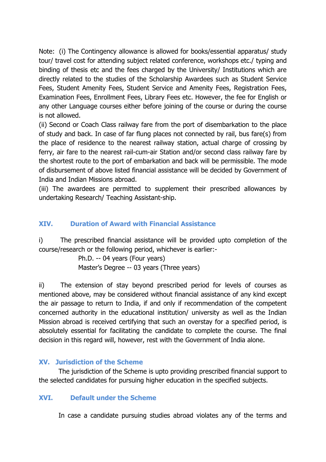Note: (i) The Contingency allowance is allowed for books/essential apparatus/ study tour/ travel cost for attending subject related conference, workshops etc./ typing and binding of thesis etc and the fees charged by the University/ Institutions which are directly related to the studies of the Scholarship Awardees such as Student Service Fees, Student Amenity Fees, Student Service and Amenity Fees, Registration Fees, Examination Fees, Enrollment Fees, Library Fees etc. However, the fee for English or any other Language courses either before joining of the course or during the course is not allowed.

(ii) Second or Coach Class railway fare from the port of disembarkation to the place of study and back. In case of far flung places not connected by rail, bus fare(s) from the place of residence to the nearest railway station, actual charge of crossing by ferry, air fare to the nearest rail-cum-air Station and/or second class railway fare by the shortest route to the port of embarkation and back will be permissible. The mode of disbursement of above listed financial assistance will be decided by Government of India and Indian Missions abroad.

(iii) The awardees are permitted to supplement their prescribed allowances by undertaking Research/ Teaching Assistant-ship.

#### **XIV. Duration of Award with Financial Assistance**

i) The prescribed financial assistance will be provided upto completion of the course/research or the following period, whichever is earlier:-

> Ph.D. -- 04 years (Four years) Master's Degree -- 03 years (Three years)

ii) The extension of stay beyond prescribed period for levels of courses as mentioned above, may be considered without financial assistance of any kind except the air passage to return to India, if and only if recommendation of the competent concerned authority in the educational institution/ university as well as the Indian Mission abroad is received certifying that such an overstay for a specified period, is absolutely essential for facilitating the candidate to complete the course. The final decision in this regard will, however, rest with the Government of India alone.

#### **XV. Jurisdiction of the Scheme**

The jurisdiction of the Scheme is upto providing prescribed financial support to the selected candidates for pursuing higher education in the specified subjects.

#### **XVI. Default under the Scheme**

In case a candidate pursuing studies abroad violates any of the terms and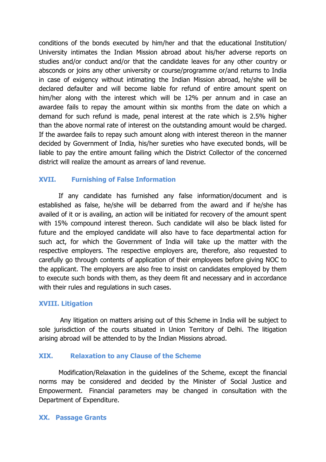conditions of the bonds executed by him/her and that the educational Institution/ University intimates the Indian Mission abroad about his/her adverse reports on studies and/or conduct and/or that the candidate leaves for any other country or absconds or joins any other university or course/programme or/and returns to India in case of exigency without intimating the Indian Mission abroad, he/she will be declared defaulter and will become liable for refund of entire amount spent on him/her along with the interest which will be 12% per annum and in case an awardee fails to repay the amount within six months from the date on which a demand for such refund is made, penal interest at the rate which is 2.5% higher than the above normal rate of interest on the outstanding amount would be charged. If the awardee fails to repay such amount along with interest thereon in the manner decided by Government of India, his/her sureties who have executed bonds, will be liable to pay the entire amount failing which the District Collector of the concerned district will realize the amount as arrears of land revenue.

#### **XVII. Furnishing of False Information**

If any candidate has furnished any false information/document and is established as false, he/she will be debarred from the award and if he/she has availed of it or is availing, an action will be initiated for recovery of the amount spent with 15% compound interest thereon. Such candidate will also be black listed for future and the employed candidate will also have to face departmental action for such act, for which the Government of India will take up the matter with the respective employers. The respective employers are, therefore, also requested to carefully go through contents of application of their employees before giving NOC to the applicant. The employers are also free to insist on candidates employed by them to execute such bonds with them, as they deem fit and necessary and in accordance with their rules and regulations in such cases.

#### **XVIII. Litigation**

Any litigation on matters arising out of this Scheme in India will be subject to sole jurisdiction of the courts situated in Union Territory of Delhi. The litigation arising abroad will be attended to by the Indian Missions abroad.

#### **XIX. Relaxation to any Clause of the Scheme**

Modification/Relaxation in the guidelines of the Scheme, except the financial norms may be considered and decided by the Minister of Social Justice and Empowerment. Financial parameters may be changed in consultation with the Department of Expenditure.

#### **XX. Passage Grants**